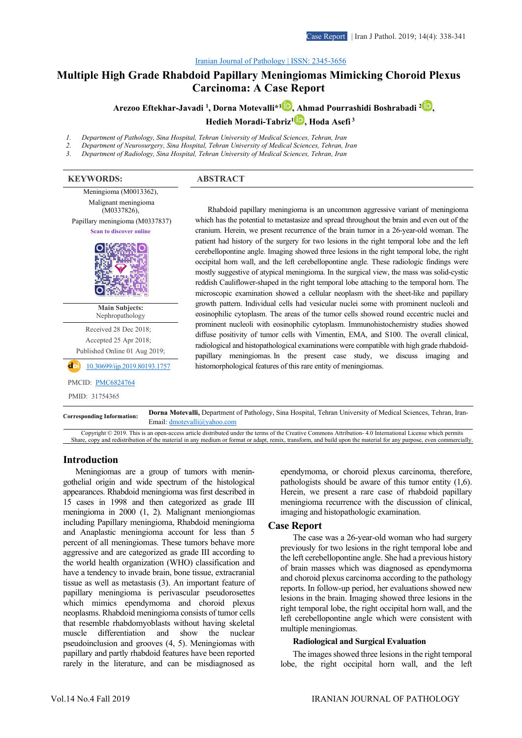#### [Iranian Journal of Pathology | ISSN: 2345-3656](http://ijp.iranpath.org/)

# **[Multiple High Grade Rhabdoid Papillary Meningiomas Mimicking Choroid Plexus](http://ijp.iranpath.org/article_36663.html)  [Carcinoma: A Case Report](http://ijp.iranpath.org/article_36663.html)**

**Arezoo Eftekhar-Javadi 1 , Dorna Motevalli\*[1](https://www.orcid.org/0000-0003-1004-8561) , Ahmad Pourrashidi Boshrabadi [2](https://www.orcid.org/0000-0003-1835-2322) ,** 

**Hedieh Moradi-Tabriz[1](https://www.orcid.org/0000-0002-4033-3171) , Hoda Asefi <sup>3</sup>**

*1. Department of Pathology, Sina Hospital, Tehran University of Medical Sciences, Tehran, Iran*

*2. Department of Neurosurgery, Sina Hospital, Tehran University of Medical Sciences, Tehran, Iran*

*3. Department of Radiology, Sina Hospital, Tehran University of Medical Sciences, Tehran, Iran*

# **KEYWORDS: ABSTRACT** Meningioma (M0013362), Malignant meningioma (M0337826), Papillary meningioma (M0337837) **Scan to discover online Main Subjects:**  Nephropathology Received 28 Dec 2018; Accepted 25 Apr 2018; Published Online 01 Aug 2019; [10.30699/ijp.2019.80193.1757](https://doi.org/10.30699/ijp.2019.80193.1757)

# PMCID: **PMC6824764**

PMID: 31754365

Rhabdoid papillary meningioma is an uncommon aggressive variant of meningioma which has the potential to metastasize and spread throughout the brain and even out of the cranium. Herein, we present recurrence of the brain tumor in a 26-year-old woman. The patient had history of the surgery for two lesions in the right temporal lobe and the left cerebellopontine angle. Imaging showed three lesions in the right temporal lobe, the right occipital horn wall, and the left cerebellopontine angle. These radiologic findings were mostly suggestive of atypical meningioma. In the surgical view, the mass was solid-cystic reddish Cauliflower-shaped in the right temporal lobe attaching to the temporal horn. The microscopic examination showed a cellular neoplasm with the sheet-like and papillary growth pattern. Individual cells had vesicular nuclei some with prominent nucleoli and eosinophilic cytoplasm. The areas of the tumor cells showed round eccentric nuclei and prominent nucleoli with eosinophilic cytoplasm. Immunohistochemistry studies showed diffuse positivity of tumor cells with Vimentin, EMA, and S100. The overall clinical, radiological and histopathological examinations were compatible with high grade rhabdoidpapillary meningiomas. In the present case study, we discuss imaging and histomorphological features of this rare entity of meningiomas.

**Corresponding Information: Dorna Motevalli,** Department of Pathology, Sina Hospital, Tehran University of Medical Sciences, Tehran, Iran-Email: dmotevalli@yahoo.com

Copyright © 2019. This is an open-access article distributed under the terms of the Creative Commons Attribution- 4.0 International License which permits Share, copy and redistribution of the material in any medium or format or adapt, remix, transform, and build upon the material for any purpose, even commercially.

#### **Introduction**

Meningiomas are a group of tumors with meningothelial origin and wide spectrum of the histological appearances. Rhabdoid meningioma was first described in 15 cases in 1998 and then categorized as grade III meningioma in 2000 (1, 2). Malignant meniongiomas including Papillary meningioma, Rhabdoid meningioma and Anaplastic meningioma account for less than 5 percent of all meningiomas. These tumors behave more aggressive and are categorized as grade III according to the world health organization (WHO) classification and have a tendency to invade brain, bone tissue, extracranial tissue as well as metastasis (3). An important feature of papillary meningioma is perivascular pseudorosettes which mimics ependymoma and choroid plexus neoplasms. Rhabdoid meningioma consists of tumor cells that resemble rhabdomyoblasts without having skeletal muscle differentiation and show the nuclear pseudoinclusion and grooves (4, 5). Meningiomas with papillary and partly rhabdoid features have been reported rarely in the literature, and can be misdiagnosed as ependymoma, or choroid plexus carcinoma, therefore, pathologists should be aware of this tumor entity (1,6). Herein, we present a rare case of rhabdoid papillary meningioma recurrence with the discussion of clinical, imaging and histopathologic examination.

#### **Case Report**

The case was a 26-year-old woman who had surgery previously for two lesions in the right temporal lobe and the left cerebellopontine angle. She had a previous history of brain masses which was diagnosed as ependymoma and choroid plexus carcinoma according to the pathology reports. In follow-up period, her evaluations showed new lesions in the brain. Imaging showed three lesions in the right temporal lobe, the right occipital horn wall, and the left cerebellopontine angle which were consistent with multiple meningiomas.

#### **Radiological and Surgical Evaluation**

The images showed three lesions in the right temporal lobe, the right occipital horn wall, and the left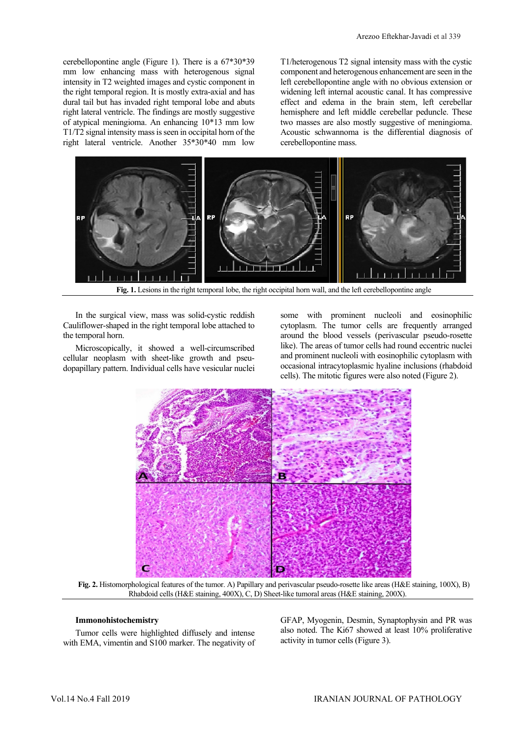cerebellopontine angle (Figure 1). There is a 67\*30\*39 mm low enhancing mass with heterogenous signal intensity in T2 weighted images and cystic component in the right temporal region. It is mostly extra-axial and has dural tail but has invaded right temporal lobe and abuts right lateral ventricle. The findings are mostly suggestive of atypical meningioma. An enhancing 10\*13 mm low T1/T2 signal intensity mass is seen in occipital horn of the right lateral ventricle. Another 35\*30\*40 mm low

T1/heterogenous T2 signal intensity mass with the cystic component and heterogenous enhancement are seen in the left cerebellopontine angle with no obvious extension or widening left internal acoustic canal. It has compressive effect and edema in the brain stem, left cerebellar hemisphere and left middle cerebellar peduncle. These two masses are also mostly suggestive of meningioma. Acoustic schwannoma is the differential diagnosis of cerebellopontine mass.



**Fig. 1.** Lesions in the right temporal lobe, the right occipital horn wall, and the left cerebellopontine angle

In the surgical view, mass was solid-cystic reddish Cauliflower-shaped in the right temporal lobe attached to the temporal horn.

Microscopically, it showed a well-circumscribed cellular neoplasm with sheet-like growth and pseudopapillary pattern. Individual cells have vesicular nuclei some with prominent nucleoli and eosinophilic cytoplasm. The tumor cells are frequently arranged around the blood vessels (perivascular pseudo-rosette like). The areas of tumor cells had round eccentric nuclei and prominent nucleoli with eosinophilic cytoplasm with occasional intracytoplasmic hyaline inclusions (rhabdoid cells). The mitotic figures were also noted (Figure 2).



**Fig. 2.** Histomorphological features of the tumor. A) Papillary and perivascular pseudo-rosette like areas (H&E staining, 100X), B) Rhabdoid cells (H&E staining, 400X), C, D) Sheet-like tumoral areas (H&E staining, 200X).

#### **Immonohistochemistry**

Tumor cells were highlighted diffusely and intense with EMA, vimentin and S100 marker. The negativity of GFAP, Myogenin, Desmin, Synaptophysin and PR was also noted. The Ki67 showed at least 10% proliferative activity in tumor cells (Figure 3).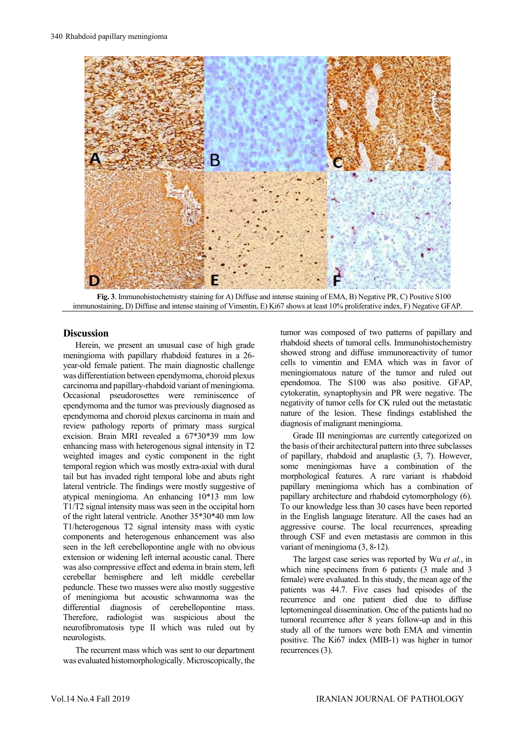

**Fig. 3**. Immunohistochemistry staining for A) Diffuse and intense staining of EMA, B) Negative PR, C) Positive S100 immunostaining, D) Diffuse and intense staining of Vimentin, E) Ki67 shows at least 10% proliferative index, F) Negative GFAP.

# **Discussion**

Herein, we present an unusual case of high grade meningioma with papillary rhabdoid features in a 26 year-old female patient. The main diagnostic challenge was differentiation between ependymoma, choroid plexus carcinoma and papillary-rhabdoid variant of meningioma. Occasional pseudorosettes were reminiscence of ependymoma and the tumor was previously diagnosed as ependymoma and choroid plexus carcinoma in main and review pathology reports of primary mass surgical excision. Brain MRI revealed a 67\*30\*39 mm low enhancing mass with heterogenous signal intensity in T2 weighted images and cystic component in the right temporal region which was mostly extra-axial with dural tail but has invaded right temporal lobe and abuts right lateral ventricle. The findings were mostly suggestive of atypical meningioma. An enhancing 10\*13 mm low T1/T2 signal intensity mass was seen in the occipital horn of the right lateral ventricle. Another 35\*30\*40 mm low T1/heterogenous T2 signal intensity mass with cystic components and heterogenous enhancement was also seen in the left cerebellopontine angle with no obvious extension or widening left internal acoustic canal. There was also compressive effect and edema in brain stem, left cerebellar hemisphere and left middle cerebellar peduncle. These two masses were also mostly suggestive of meningioma but acoustic schwannoma was the differential diagnosis of cerebellopontine mass. Therefore, radiologist was suspicious about the neurofibromatosis type II which was ruled out by neurologists.

The recurrent mass which was sent to our department was evaluated histomorphologically. Microscopically, the

tumor was composed of two patterns of papillary and rhabdoid sheets of tumoral cells. Immunohistochemistry showed strong and diffuse immunoreactivity of tumor cells to vimentin and EMA which was in favor of meningiomatous nature of the tumor and ruled out ependomoa. The S100 was also positive. GFAP, cytokeratin, synaptophysin and PR were negative. The negativity of tumor cells for CK ruled out the metastatic nature of the lesion. These findings established the diagnosis of malignant meningioma.

Grade III meningiomas are currently categorized on the basis of their architectural pattern into three subclasses of papillary, rhabdoid and anaplastic (3, 7). However, some meningiomas have a combination of the morphological features. A rare variant is rhabdoid papillary meningioma which has a combination of papillary architecture and rhabdoid cytomorphology (6). To our knowledge less than 30 cases have been reported in the English language literature. All the cases had an aggressive course. The local recurrences, spreading through CSF and even metastasis are common in this variant of meningioma (3, 8-12).

The largest case series was reported by Wu *et al.*, in which nine specimens from 6 patients (3 male and 3 female) were evaluated. In this study, the mean age of the patients was 44.7. Five cases had episodes of the recurrence and one patient died due to diffuse leptomeningeal dissemination. One of the patients had no tumoral recurrence after 8 years follow-up and in this study all of the tumors were both EMA and vimentin positive. The Ki67 index (MIB-1) was higher in tumor recurrences (3).